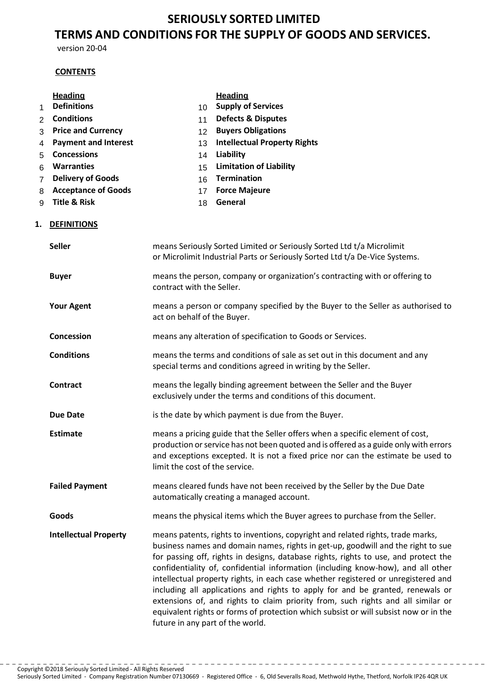# **SERIOUSLY SORTED LIMITED TERMS AND CONDITIONS FOR THE SUPPLY OF GOODS AND SERVICES.**

version 20-04

# **CONTENTS**

# **Heading Heading**

1 **Definitions** 10 **Supply of Services**

# 2 **Conditions** 11 **Defects & Disputes**

- 3 **Price and Currency** 12 **Buyers Obligations**
- 4 **Payment and Interest** 13 **Intellectual Property Rights**
- 5 **Concessions** 14 **Liability**
- 6 **Warranties** 15 **Limitation of Liability**
- 7 **Delivery of Goods** 16 **Termination**
- 8 **Acceptance of Goods** 17 **Force Majeure**
- 9 **Title & Risk** 18 **General**

- 
- 
- 

# **1. DEFINITIONS**

| <b>Seller</b>                | means Seriously Sorted Limited or Seriously Sorted Ltd t/a Microlimit<br>or Microlimit Industrial Parts or Seriously Sorted Ltd t/a De-Vice Systems.                                                                                                                                                                                                                                                                                                                                                                                                                                                                                                                                                                                  |
|------------------------------|---------------------------------------------------------------------------------------------------------------------------------------------------------------------------------------------------------------------------------------------------------------------------------------------------------------------------------------------------------------------------------------------------------------------------------------------------------------------------------------------------------------------------------------------------------------------------------------------------------------------------------------------------------------------------------------------------------------------------------------|
| <b>Buyer</b>                 | means the person, company or organization's contracting with or offering to<br>contract with the Seller.                                                                                                                                                                                                                                                                                                                                                                                                                                                                                                                                                                                                                              |
| <b>Your Agent</b>            | means a person or company specified by the Buyer to the Seller as authorised to<br>act on behalf of the Buyer.                                                                                                                                                                                                                                                                                                                                                                                                                                                                                                                                                                                                                        |
| Concession                   | means any alteration of specification to Goods or Services.                                                                                                                                                                                                                                                                                                                                                                                                                                                                                                                                                                                                                                                                           |
| <b>Conditions</b>            | means the terms and conditions of sale as set out in this document and any<br>special terms and conditions agreed in writing by the Seller.                                                                                                                                                                                                                                                                                                                                                                                                                                                                                                                                                                                           |
| <b>Contract</b>              | means the legally binding agreement between the Seller and the Buyer<br>exclusively under the terms and conditions of this document.                                                                                                                                                                                                                                                                                                                                                                                                                                                                                                                                                                                                  |
| <b>Due Date</b>              | is the date by which payment is due from the Buyer.                                                                                                                                                                                                                                                                                                                                                                                                                                                                                                                                                                                                                                                                                   |
| <b>Estimate</b>              | means a pricing guide that the Seller offers when a specific element of cost,<br>production or service has not been quoted and is offered as a guide only with errors<br>and exceptions excepted. It is not a fixed price nor can the estimate be used to<br>limit the cost of the service.                                                                                                                                                                                                                                                                                                                                                                                                                                           |
| <b>Failed Payment</b>        | means cleared funds have not been received by the Seller by the Due Date<br>automatically creating a managed account.                                                                                                                                                                                                                                                                                                                                                                                                                                                                                                                                                                                                                 |
| Goods                        | means the physical items which the Buyer agrees to purchase from the Seller.                                                                                                                                                                                                                                                                                                                                                                                                                                                                                                                                                                                                                                                          |
| <b>Intellectual Property</b> | means patents, rights to inventions, copyright and related rights, trade marks,<br>business names and domain names, rights in get-up, goodwill and the right to sue<br>for passing off, rights in designs, database rights, rights to use, and protect the<br>confidentiality of, confidential information (including know-how), and all other<br>intellectual property rights, in each case whether registered or unregistered and<br>including all applications and rights to apply for and be granted, renewals or<br>extensions of, and rights to claim priority from, such rights and all similar or<br>equivalent rights or forms of protection which subsist or will subsist now or in the<br>future in any part of the world. |

Seriously Sorted Limited - Company Registration Number 07130669 - Registered Office - 6, Old Severalls Road, Methwold Hythe, Thetford, Norfolk IP26 4QR UK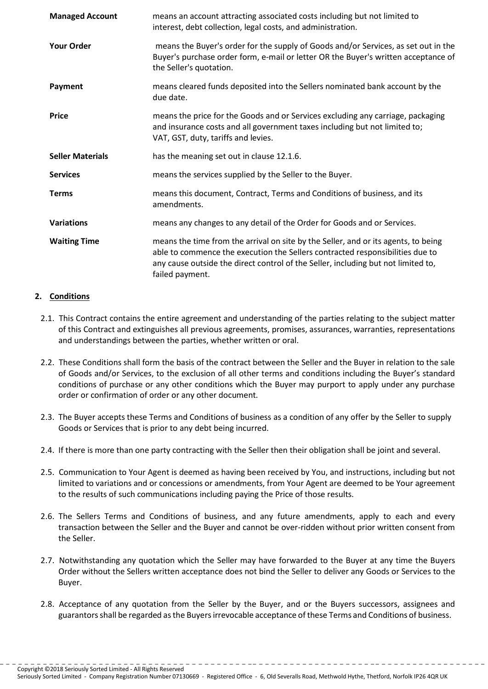| <b>Managed Account</b>  | means an account attracting associated costs including but not limited to<br>interest, debt collection, legal costs, and administration.                                                                                                                                    |
|-------------------------|-----------------------------------------------------------------------------------------------------------------------------------------------------------------------------------------------------------------------------------------------------------------------------|
| <b>Your Order</b>       | means the Buyer's order for the supply of Goods and/or Services, as set out in the<br>Buyer's purchase order form, e-mail or letter OR the Buyer's written acceptance of<br>the Seller's quotation.                                                                         |
| Payment                 | means cleared funds deposited into the Sellers nominated bank account by the<br>due date.                                                                                                                                                                                   |
| <b>Price</b>            | means the price for the Goods and or Services excluding any carriage, packaging<br>and insurance costs and all government taxes including but not limited to;<br>VAT, GST, duty, tariffs and levies.                                                                        |
| <b>Seller Materials</b> | has the meaning set out in clause 12.1.6.                                                                                                                                                                                                                                   |
| <b>Services</b>         | means the services supplied by the Seller to the Buyer.                                                                                                                                                                                                                     |
| <b>Terms</b>            | means this document, Contract, Terms and Conditions of business, and its<br>amendments.                                                                                                                                                                                     |
| <b>Variations</b>       | means any changes to any detail of the Order for Goods and or Services.                                                                                                                                                                                                     |
| <b>Waiting Time</b>     | means the time from the arrival on site by the Seller, and or its agents, to being<br>able to commence the execution the Sellers contracted responsibilities due to<br>any cause outside the direct control of the Seller, including but not limited to,<br>failed payment. |

# **2. Conditions**

- 2.1. This Contract contains the entire agreement and understanding of the parties relating to the subject matter of this Contract and extinguishes all previous agreements, promises, assurances, warranties, representations and understandings between the parties, whether written or oral.
- 2.2. These Conditions shall form the basis of the contract between the Seller and the Buyer in relation to the sale of Goods and/or Services, to the exclusion of all other terms and conditions including the Buyer's standard conditions of purchase or any other conditions which the Buyer may purport to apply under any purchase order or confirmation of order or any other document.
- 2.3. The Buyer accepts these Terms and Conditions of business as a condition of any offer by the Seller to supply Goods or Services that is prior to any debt being incurred.
- 2.4. If there is more than one party contracting with the Seller then their obligation shall be joint and several.
- 2.5. Communication to Your Agent is deemed as having been received by You, and instructions, including but not limited to variations and or concessions or amendments, from Your Agent are deemed to be Your agreement to the results of such communications including paying the Price of those results.
- 2.6. The Sellers Terms and Conditions of business, and any future amendments, apply to each and every transaction between the Seller and the Buyer and cannot be over-ridden without prior written consent from the Seller.
- 2.7. Notwithstanding any quotation which the Seller may have forwarded to the Buyer at any time the Buyers Order without the Sellers written acceptance does not bind the Seller to deliver any Goods or Services to the Buyer.
- 2.8. Acceptance of any quotation from the Seller by the Buyer, and or the Buyers successors, assignees and guarantorsshall be regarded asthe Buyersirrevocable acceptance of these Terms and Conditions of business.

Seriously Sorted Limited - Company Registration Number 07130669 - Registered Office - 6, Old Severalls Road, Methwold Hythe, Thetford, Norfolk IP26 4QR UK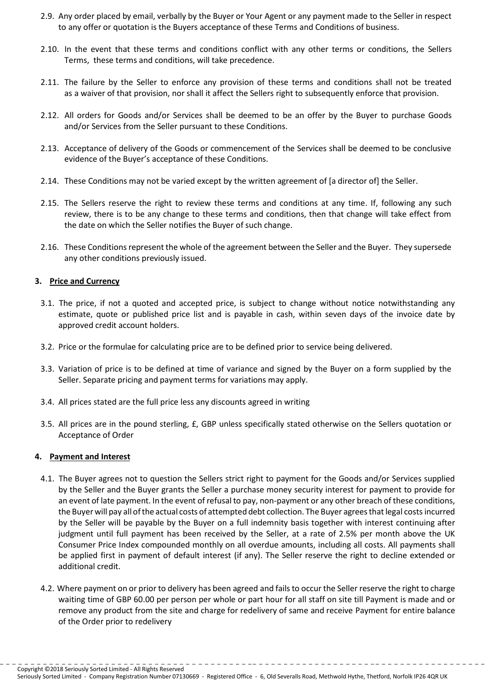- 2.9. Any order placed by email, verbally by the Buyer or Your Agent or any payment made to the Seller in respect to any offer or quotation is the Buyers acceptance of these Terms and Conditions of business.
- 2.10. In the event that these terms and conditions conflict with any other terms or conditions, the Sellers Terms, these terms and conditions, will take precedence.
- 2.11. The failure by the Seller to enforce any provision of these terms and conditions shall not be treated as a waiver of that provision, nor shall it affect the Sellers right to subsequently enforce that provision.
- 2.12. All orders for Goods and/or Services shall be deemed to be an offer by the Buyer to purchase Goods and/or Services from the Seller pursuant to these Conditions.
- 2.13. Acceptance of delivery of the Goods or commencement of the Services shall be deemed to be conclusive evidence of the Buyer's acceptance of these Conditions.
- 2.14. These Conditions may not be varied except by the written agreement of [a director of] the Seller.
- 2.15. The Sellers reserve the right to review these terms and conditions at any time. If, following any such review, there is to be any change to these terms and conditions, then that change will take effect from the date on which the Seller notifies the Buyer of such change.
- 2.16. These Conditions represent the whole of the agreement between the Seller and the Buyer. They supersede any other conditions previously issued.

### **3. Price and Currency**

- 3.1. The price, if not a quoted and accepted price, is subject to change without notice notwithstanding any estimate, quote or published price list and is payable in cash, within seven days of the invoice date by approved credit account holders.
- 3.2. Price or the formulae for calculating price are to be defined prior to service being delivered.
- 3.3. Variation of price is to be defined at time of variance and signed by the Buyer on a form supplied by the Seller. Separate pricing and payment terms for variations may apply.
- 3.4. All prices stated are the full price less any discounts agreed in writing
- 3.5. All prices are in the pound sterling, £, GBP unless specifically stated otherwise on the Sellers quotation or Acceptance of Order

#### **4. Payment and Interest**

- 4.1. The Buyer agrees not to question the Sellers strict right to payment for the Goods and/or Services supplied by the Seller and the Buyer grants the Seller a purchase money security interest for payment to provide for an event of late payment. In the event of refusal to pay, non-payment or any other breach of these conditions, the Buyer will pay all ofthe actual costs of attempted debt collection. The Buyer agreesthatlegal costsincurred by the Seller will be payable by the Buyer on a full indemnity basis together with interest continuing after judgment until full payment has been received by the Seller, at a rate of 2.5% per month above the UK Consumer Price Index compounded monthly on all overdue amounts, including all costs. All payments shall be applied first in payment of default interest (if any). The Seller reserve the right to decline extended or additional credit.
- 4.2. Where payment on or prior to delivery has been agreed and fails to occur the Seller reserve the right to charge waiting time of GBP 60.00 per person per whole or part hour for all staff on site till Payment is made and or remove any product from the site and charge for redelivery of same and receive Payment for entire balance of the Order prior to redelivery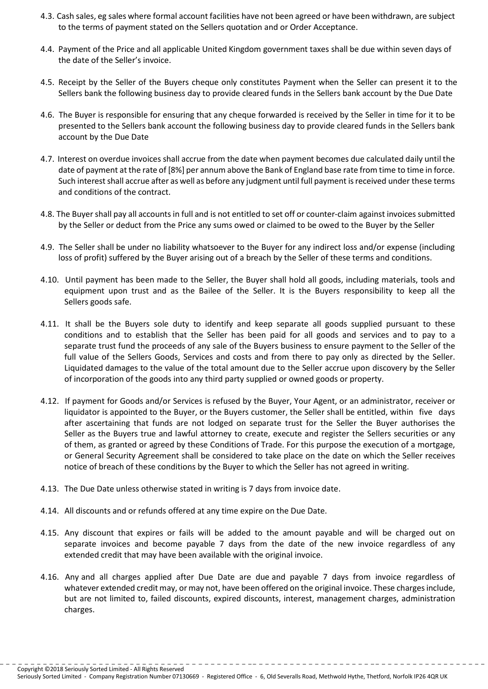- 4.3. Cash sales, eg sales where formal account facilities have not been agreed or have been withdrawn, are subject to the terms of payment stated on the Sellers quotation and or Order Acceptance.
- 4.4. Payment of the Price and all applicable United Kingdom government taxes shall be due within seven days of the date of the Seller's invoice.
- 4.5. Receipt by the Seller of the Buyers cheque only constitutes Payment when the Seller can present it to the Sellers bank the following business day to provide cleared funds in the Sellers bank account by the Due Date
- 4.6. The Buyer is responsible for ensuring that any cheque forwarded is received by the Seller in time for it to be presented to the Sellers bank account the following business day to provide cleared funds in the Sellers bank account by the Due Date
- 4.7. Interest on overdue invoices shall accrue from the date when payment becomes due calculated daily until the date of payment at the rate of [8%] per annum above the Bank of England base rate from time to time in force. Such interest shall accrue after as well as before any judgment until full payment is received under these terms and conditions of the contract.
- 4.8. The Buyer shall pay all accounts in full and is not entitled to set off or counter-claim against invoices submitted by the Seller or deduct from the Price any sums owed or claimed to be owed to the Buyer by the Seller
- 4.9. The Seller shall be under no liability whatsoever to the Buyer for any indirect loss and/or expense (including loss of profit) suffered by the Buyer arising out of a breach by the Seller of these terms and conditions.
- 4.10. Until payment has been made to the Seller, the Buyer shall hold all goods, including materials, tools and equipment upon trust and as the Bailee of the Seller. It is the Buyers responsibility to keep all the Sellers goods safe.
- 4.11. It shall be the Buyers sole duty to identify and keep separate all goods supplied pursuant to these conditions and to establish that the Seller has been paid for all goods and services and to pay to a separate trust fund the proceeds of any sale of the Buyers business to ensure payment to the Seller of the full value of the Sellers Goods, Services and costs and from there to pay only as directed by the Seller. Liquidated damages to the value of the total amount due to the Seller accrue upon discovery by the Seller of incorporation of the goods into any third party supplied or owned goods or property.
- 4.12. If payment for Goods and/or Services is refused by the Buyer, Your Agent, or an administrator, receiver or liquidator is appointed to the Buyer, or the Buyers customer, the Seller shall be entitled, within five days after ascertaining that funds are not lodged on separate trust for the Seller the Buyer authorises the Seller as the Buyers true and lawful attorney to create, execute and register the Sellers securities or any of them, as granted or agreed by these Conditions of Trade. For this purpose the execution of a mortgage, or General Security Agreement shall be considered to take place on the date on which the Seller receives notice of breach of these conditions by the Buyer to which the Seller has not agreed in writing.
- 4.13. The Due Date unless otherwise stated in writing is 7 days from invoice date.
- 4.14. All discounts and or refunds offered at any time expire on the Due Date.
- 4.15. Any discount that expires or fails will be added to the amount payable and will be charged out on separate invoices and become payable 7 days from the date of the new invoice regardless of any extended credit that may have been available with the original invoice.
- 4.16. Any and all charges applied after Due Date are due and payable 7 days from invoice regardless of whatever extended credit may, or may not, have been offered on the original invoice. These charges include, but are not limited to, failed discounts, expired discounts, interest, management charges, administration charges.

Seriously Sorted Limited - Company Registration Number 07130669 - Registered Office - 6, Old Severalls Road, Methwold Hythe, Thetford, Norfolk IP26 4QR UK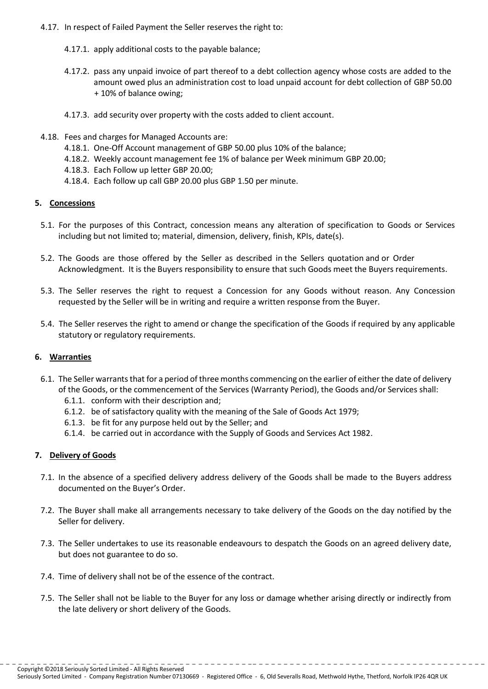- 4.17. In respect of Failed Payment the Seller reserves the right to:
	- 4.17.1. apply additional costs to the payable balance;
	- 4.17.2. pass any unpaid invoice of part thereof to a debt collection agency whose costs are added to the amount owed plus an administration cost to load unpaid account for debt collection of GBP 50.00 + 10% of balance owing;
	- 4.17.3. add security over property with the costs added to client account.
- 4.18. Fees and charges for Managed Accounts are:
	- 4.18.1. One-Off Account management of GBP 50.00 plus 10% of the balance;
	- 4.18.2. Weekly account management fee 1% of balance per Week minimum GBP 20.00;
	- 4.18.3. Each Follow up letter GBP 20.00;
	- 4.18.4. Each follow up call GBP 20.00 plus GBP 1.50 per minute.

### **5. Concessions**

- 5.1. For the purposes of this Contract, concession means any alteration of specification to Goods or Services including but not limited to; material, dimension, delivery, finish, KPIs, date(s).
- 5.2. The Goods are those offered by the Seller as described in the Sellers quotation and or Order Acknowledgment. It is the Buyers responsibility to ensure that such Goods meet the Buyers requirements.
- 5.3. The Seller reserves the right to request a Concession for any Goods without reason. Any Concession requested by the Seller will be in writing and require a written response from the Buyer.
- 5.4. The Seller reserves the right to amend or change the specification of the Goods if required by any applicable statutory or regulatory requirements.

# **6. Warranties**

- 6.1. The Seller warrants that for a period of three months commencing on the earlier of either the date of delivery of the Goods, or the commencement of the Services (Warranty Period), the Goods and/or Services shall:
	- 6.1.1. conform with their description and;
	- 6.1.2. be of satisfactory quality with the meaning of the Sale of Goods Act 1979;
	- 6.1.3. be fit for any purpose held out by the Seller; and
	- 6.1.4. be carried out in accordance with the Supply of Goods and Services Act 1982.

# **7. Delivery of Goods**

- 7.1. In the absence of a specified delivery address delivery of the Goods shall be made to the Buyers address documented on the Buyer's Order.
- 7.2. The Buyer shall make all arrangements necessary to take delivery of the Goods on the day notified by the Seller for delivery.
- 7.3. The Seller undertakes to use its reasonable endeavours to despatch the Goods on an agreed delivery date, but does not guarantee to do so.
- 7.4. Time of delivery shall not be of the essence of the contract.
- 7.5. The Seller shall not be liable to the Buyer for any loss or damage whether arising directly or indirectly from the late delivery or short delivery of the Goods.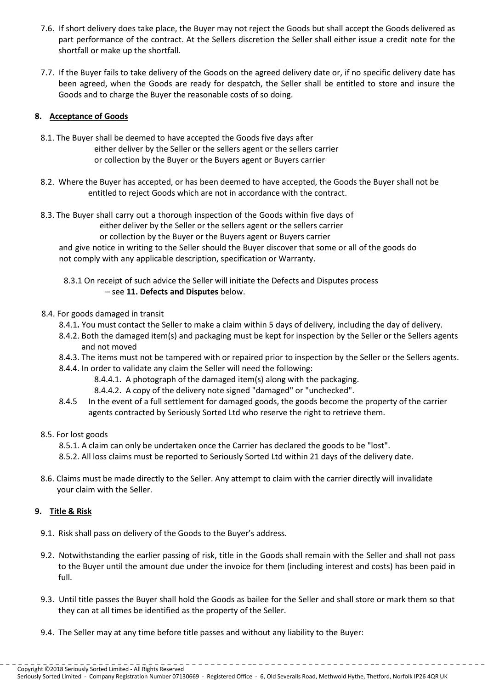- 7.6. If short delivery does take place, the Buyer may not reject the Goods but shall accept the Goods delivered as part performance of the contract. At the Sellers discretion the Seller shall either issue a credit note for the shortfall or make up the shortfall.
- 7.7. If the Buyer fails to take delivery of the Goods on the agreed delivery date or, if no specific delivery date has been agreed, when the Goods are ready for despatch, the Seller shall be entitled to store and insure the Goods and to charge the Buyer the reasonable costs of so doing.

# **8. Acceptance of Goods**

- 8.1. The Buyer shall be deemed to have accepted the Goods five days after either deliver by the Seller or the sellers agent or the sellers carrier or collection by the Buyer or the Buyers agent or Buyers carrier
- 8.2. Where the Buyer has accepted, or has been deemed to have accepted, the Goods the Buyer shall not be entitled to reject Goods which are not in accordance with the contract.
- 8.3. The Buyer shall carry out a thorough inspection of the Goods within five days of either deliver by the Seller or the sellers agent or the sellers carrier or collection by the Buyer or the Buyers agent or Buyers carrier and give notice in writing to the Seller should the Buyer discover that some or all of the goods do not comply with any applicable description, specification or Warranty.
	- 8.3.1 On receipt of such advice the Seller will initiate the Defects and Disputes process – see **11. Defects and Disputes** below.
- 8.4. For goods damaged in transit
	- 8.4.1**.** You must contact the Seller to make a claim within 5 days of delivery, including the day of delivery.
	- 8.4.2. Both the damaged item(s) and packaging must be kept for inspection by the Seller or the Sellers agents and not moved
	- 8.4.3. The items must not be tampered with or repaired prior to inspection by the Seller or the Sellers agents.
	- 8.4.4. In order to validate any claim the Seller will need the following:
		- 8.4.4.1. A photograph of the damaged item(s) along with the packaging.
		- 8.4.4.2. A copy of the delivery note signed "damaged" or "unchecked".
	- 8.4.5 In the event of a full settlement for damaged goods, the goods become the property of the carrier agents contracted by Seriously Sorted Ltd who reserve the right to retrieve them.

#### 8.5. For lost goods

- 8.5.1. A claim can only be undertaken once the Carrier has declared the goods to be "lost".
- 8.5.2. All loss claims must be reported to Seriously Sorted Ltd within 21 days of the delivery date.
- 8.6. Claims must be made directly to the Seller. Any attempt to claim with the carrier directly will invalidate your claim with the Seller.

# **9. Title & Risk**

- 9.1. Risk shall pass on delivery of the Goods to the Buyer's address.
- 9.2. Notwithstanding the earlier passing of risk, title in the Goods shall remain with the Seller and shall not pass to the Buyer until the amount due under the invoice for them (including interest and costs) has been paid in full.
- 9.3. Until title passes the Buyer shall hold the Goods as bailee for the Seller and shall store or mark them so that they can at all times be identified as the property of the Seller.
- 9.4. The Seller may at any time before title passes and without any liability to the Buyer: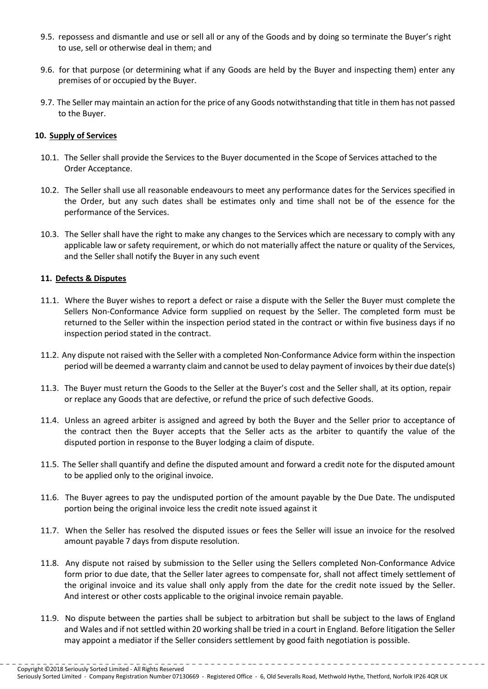- 9.5. repossess and dismantle and use or sell all or any of the Goods and by doing so terminate the Buyer's right to use, sell or otherwise deal in them; and
- 9.6. for that purpose (or determining what if any Goods are held by the Buyer and inspecting them) enter any premises of or occupied by the Buyer.
- 9.7. The Seller may maintain an action for the price of any Goods notwithstanding that title in them has not passed to the Buyer.

#### **10. Supply of Services**

- 10.1. The Seller shall provide the Services to the Buyer documented in the Scope of Services attached to the Order Acceptance.
- 10.2. The Seller shall use all reasonable endeavours to meet any performance dates for the Services specified in the Order, but any such dates shall be estimates only and time shall not be of the essence for the performance of the Services.
- 10.3. The Seller shall have the right to make any changes to the Services which are necessary to comply with any applicable law or safety requirement, or which do not materially affect the nature or quality of the Services, and the Seller shall notify the Buyer in any such event

### **11. Defects & Disputes**

- 11.1. Where the Buyer wishes to report a defect or raise a dispute with the Seller the Buyer must complete the Sellers Non-Conformance Advice form supplied on request by the Seller. The completed form must be returned to the Seller within the inspection period stated in the contract or within five business days if no inspection period stated in the contract.
- 11.2. Any dispute not raised with the Seller with a completed Non-Conformance Advice form within the inspection period will be deemed a warranty claim and cannot be used to delay payment of invoices by their due date(s)
- 11.3. The Buyer must return the Goods to the Seller at the Buyer's cost and the Seller shall, at its option, repair or replace any Goods that are defective, or refund the price of such defective Goods.
- 11.4. Unless an agreed arbiter is assigned and agreed by both the Buyer and the Seller prior to acceptance of the contract then the Buyer accepts that the Seller acts as the arbiter to quantify the value of the disputed portion in response to the Buyer lodging a claim of dispute.
- 11.5. The Seller shall quantify and define the disputed amount and forward a credit note for the disputed amount to be applied only to the original invoice.
- 11.6. The Buyer agrees to pay the undisputed portion of the amount payable by the Due Date. The undisputed portion being the original invoice less the credit note issued against it
- 11.7. When the Seller has resolved the disputed issues or fees the Seller will issue an invoice for the resolved amount payable 7 days from dispute resolution.
- 11.8. Any dispute not raised by submission to the Seller using the Sellers completed Non-Conformance Advice form prior to due date, that the Seller later agrees to compensate for, shall not affect timely settlement of the original invoice and its value shall only apply from the date for the credit note issued by the Seller. And interest or other costs applicable to the original invoice remain payable.
- 11.9. No dispute between the parties shall be subject to arbitration but shall be subject to the laws of England and Wales and if not settled within 20 working shall be tried in a court in England. Before litigation the Seller may appoint a mediator if the Seller considers settlement by good faith negotiation is possible.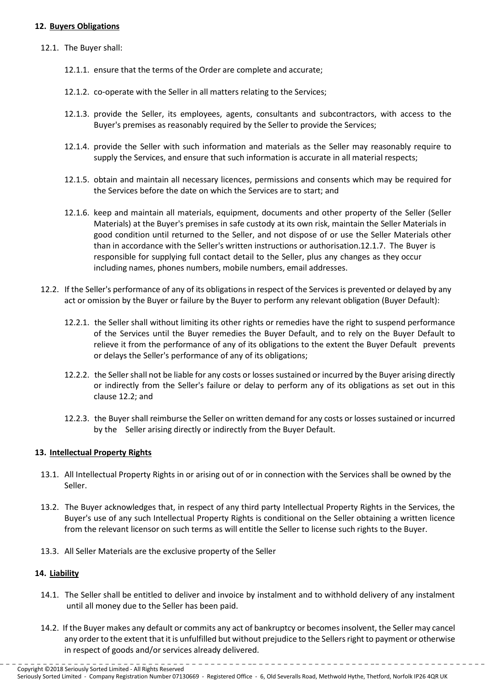### **12. Buyers Obligations**

- 12.1. The Buyer shall:
	- 12.1.1. ensure that the terms of the Order are complete and accurate;
	- 12.1.2. co-operate with the Seller in all matters relating to the Services;
	- 12.1.3. provide the Seller, its employees, agents, consultants and subcontractors, with access to the Buyer's premises as reasonably required by the Seller to provide the Services;
	- 12.1.4. provide the Seller with such information and materials as the Seller may reasonably require to supply the Services, and ensure that such information is accurate in all material respects;
	- 12.1.5. obtain and maintain all necessary licences, permissions and consents which may be required for the Services before the date on which the Services are to start; and
	- 12.1.6. keep and maintain all materials, equipment, documents and other property of the Seller (Seller Materials) at the Buyer's premises in safe custody at its own risk, maintain the Seller Materials in good condition until returned to the Seller, and not dispose of or use the Seller Materials other than in accordance with the Seller's written instructions or authorisation.12.1.7. The Buyer is responsible for supplying full contact detail to the Seller, plus any changes as they occur including names, phones numbers, mobile numbers, email addresses.
- 12.2. If the Seller's performance of any of its obligations in respect of the Services is prevented or delayed by any act or omission by the Buyer or failure by the Buyer to perform any relevant obligation (Buyer Default):
	- 12.2.1. the Seller shall without limiting its other rights or remedies have the right to suspend performance of the Services until the Buyer remedies the Buyer Default, and to rely on the Buyer Default to relieve it from the performance of any of its obligations to the extent the Buyer Default prevents or delays the Seller's performance of any of its obligations;
	- 12.2.2. the Seller shall not be liable for any costs or losses sustained or incurred by the Buyer arising directly or indirectly from the Seller's failure or delay to perform any of its obligations as set out in this clause 12.2; and
	- 12.2.3. the Buyershall reimburse the Seller on written demand for any costs or losses sustained or incurred by the Seller arising directly or indirectly from the Buyer Default.

#### **13. Intellectual Property Rights**

- 13.1. All Intellectual Property Rights in or arising out of or in connection with the Services shall be owned by the Seller.
- 13.2. The Buyer acknowledges that, in respect of any third party Intellectual Property Rights in the Services, the Buyer's use of any such Intellectual Property Rights is conditional on the Seller obtaining a written licence from the relevant licensor on such terms as will entitle the Seller to license such rights to the Buyer.
- 13.3. All Seller Materials are the exclusive property of the Seller

#### **14. Liability**

- 14.1. The Seller shall be entitled to deliver and invoice by instalment and to withhold delivery of any instalment until all money due to the Seller has been paid.
- 14.2. If the Buyer makes any default or commits any act of bankruptcy or becomesinsolvent, the Seller may cancel any order to the extent that it is unfulfilled but without prejudice to the Sellers right to payment or otherwise in respect of goods and/or services already delivered.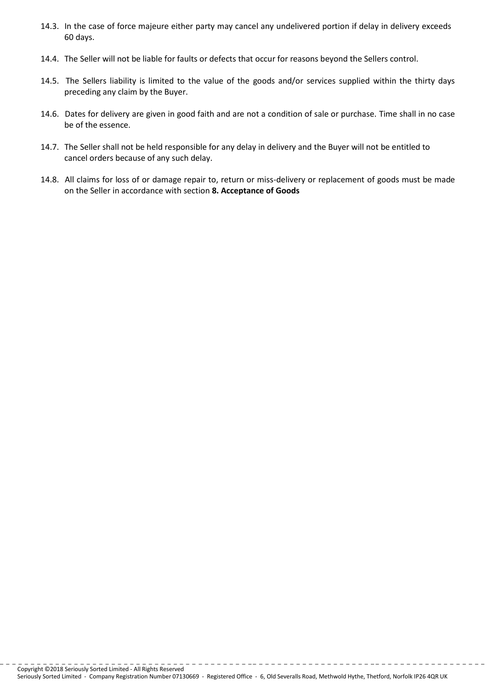- 14.3. In the case of force majeure either party may cancel any undelivered portion if delay in delivery exceeds 60 days.
- 14.4. The Seller will not be liable for faults or defects that occur for reasons beyond the Sellers control.
- 14.5. The Sellers liability is limited to the value of the goods and/or services supplied within the thirty days preceding any claim by the Buyer.
- 14.6. Dates for delivery are given in good faith and are not a condition of sale or purchase. Time shall in no case be of the essence.
- 14.7. The Seller shall not be held responsible for any delay in delivery and the Buyer will not be entitled to cancel orders because of any such delay.
- 14.8. All claims for loss of or damage repair to, return or miss-delivery or replacement of goods must be made on the Seller in accordance with section **8. Acceptance of Goods**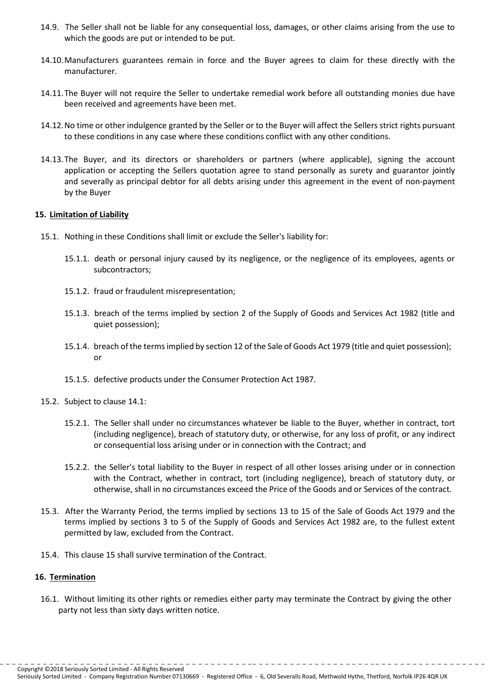- 14.9. The Seller shall not be liable for any consequential loss, damages, or other claims arising from the use to which the goods are put or intended to be put.
- 14.10.Manufacturers guarantees remain in force and the Buyer agrees to claim for these directly with the manufacturer.
- 14.11.The Buyer will not require the Seller to undertake remedial work before all outstanding monies due have been received and agreements have been met.
- 14.12.No time or other indulgence granted by the Seller or to the Buyer will affect the Sellers strict rights pursuant to these conditions in any case where these conditions conflict with any other conditions.
- 14.13.The Buyer, and its directors or shareholders or partners (where applicable), signing the account application or accepting the Sellers quotation agree to stand personally as surety and guarantor jointly and severally as principal debtor for all debts arising under this agreement in the event of non-payment by the Buyer

#### **15. Limitation of Liability**

- 15.1. Nothing in these Conditions shall limit or exclude the Seller's liability for:
	- 15.1.1. death or personal injury caused by its negligence, or the negligence of its employees, agents or subcontractors;
	- 15.1.2. fraud or fraudulent misrepresentation;
	- 15.1.3. breach of the terms implied by section 2 of the Supply of Goods and Services Act 1982 (title and quiet possession);
	- 15.1.4. breach of the termsimplied by section 12 of the Sale of Goods Act 1979 (title and quiet possession); or
	- 15.1.5. defective products under the Consumer Protection Act 1987.
- 15.2. Subject to clause 14.1:
	- 15.2.1. The Seller shall under no circumstances whatever be liable to the Buyer, whether in contract, tort (including negligence), breach of statutory duty, or otherwise, for any loss of profit, or any indirect or consequential loss arising under or in connection with the Contract; and
	- 15.2.2. the Seller's total liability to the Buyer in respect of all other losses arising under or in connection with the Contract, whether in contract, tort (including negligence), breach of statutory duty, or otherwise, shall in no circumstances exceed the Price of the Goods and or Services of the contract*.*
- 15.3. After the Warranty Period, the terms implied by sections 13 to 15 of the Sale of Goods Act 1979 and the terms implied by sections 3 to 5 of the Supply of Goods and Services Act 1982 are, to the fullest extent permitted by law, excluded from the Contract.
- 15.4. This clause 15 shall survive termination of the Contract.

#### **16. Termination**

16.1. Without limiting its other rights or remedies either party may terminate the Contract by giving the other party not less than sixty days written notice.

Seriously Sorted Limited - Company Registration Number 07130669 - Registered Office - 6, Old Severalls Road, Methwold Hythe, Thetford, Norfolk IP26 4QR UK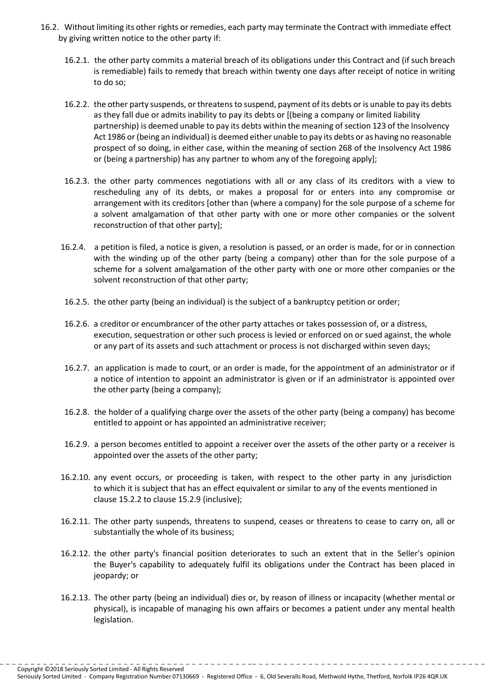- 16.2. Without limiting its other rights or remedies, each party may terminate the Contract with immediate effect by giving written notice to the other party if:
	- 16.2.1. the other party commits a material breach of its obligations under this Contract and (if such breach is remediable) fails to remedy that breach within twenty one days after receipt of notice in writing to do so;
	- 16.2.2. the other party suspends, orthreatensto suspend, payment of its debts or is unable to pay its debts as they fall due or admits inability to pay its debts or [(being a company or limited liability partnership) is deemed unable to pay its debts within the meaning of section 123 of the Insolvency Act 1986 or (being an individual) is deemed either unable to pay its debts or as having no reasonable prospect of so doing, in either case, within the meaning of section 268 of the Insolvency Act 1986 or (being a partnership) has any partner to whom any of the foregoing apply];
	- 16.2.3. the other party commences negotiations with all or any class of its creditors with a view to rescheduling any of its debts, or makes a proposal for or enters into any compromise or arrangement with its creditors [other than (where a company) for the sole purpose of a scheme for a solvent amalgamation of that other party with one or more other companies or the solvent reconstruction of that other party];
	- 16.2.4. a petition is filed, a notice is given, a resolution is passed, or an order is made, for or in connection with the winding up of the other party (being a company) other than for the sole purpose of a scheme for a solvent amalgamation of the other party with one or more other companies or the solvent reconstruction of that other party;
	- 16.2.5. the other party (being an individual) is the subject of a bankruptcy petition or order;
	- 16.2.6. a creditor or encumbrancer of the other party attaches or takes possession of, or a distress, execution, sequestration or other such process is levied or enforced on or sued against, the whole or any part of its assets and such attachment or process is not discharged within seven days;
	- 16.2.7. an application is made to court, or an order is made, for the appointment of an administrator or if a notice of intention to appoint an administrator is given or if an administrator is appointed over the other party (being a company);
	- 16.2.8. the holder of a qualifying charge over the assets of the other party (being a company) has become entitled to appoint or has appointed an administrative receiver;
	- 16.2.9. a person becomes entitled to appoint a receiver over the assets of the other party or a receiver is appointed over the assets of the other party;
	- 16.2.10. any event occurs, or proceeding is taken, with respect to the other party in any jurisdiction to which it is subject that has an effect equivalent or similar to any of the events mentioned in clause 15.2.2 to clause 15.2.9 (inclusive);
	- 16.2.11. The other party suspends, threatens to suspend, ceases or threatens to cease to carry on, all or substantially the whole of its business;
	- 16.2.12. the other party's financial position deteriorates to such an extent that in the Seller's opinion the Buyer's capability to adequately fulfil its obligations under the Contract has been placed in jeopardy; or
	- 16.2.13. The other party (being an individual) dies or, by reason of illness or incapacity (whether mental or physical), is incapable of managing his own affairs or becomes a patient under any mental health legislation.

Copyright ©2018 Seriously Sorted Limited - All Rights Reserved

Seriously Sorted Limited - Company Registration Number 07130669 - Registered Office - 6, Old Severalls Road, Methwold Hythe, Thetford, Norfolk IP26 4QR UK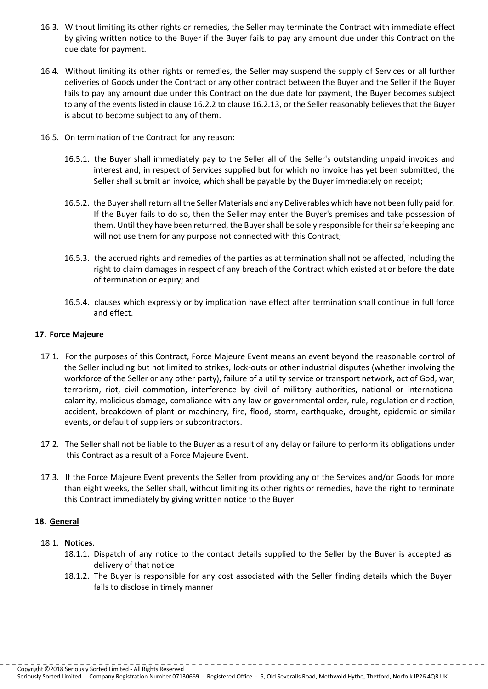- 16.3. Without limiting its other rights or remedies, the Seller may terminate the Contract with immediate effect by giving written notice to the Buyer if the Buyer fails to pay any amount due under this Contract on the due date for payment.
- 16.4. Without limiting its other rights or remedies, the Seller may suspend the supply of Services or all further deliveries of Goods under the Contract or any other contract between the Buyer and the Seller if the Buyer fails to pay any amount due under this Contract on the due date for payment, the Buyer becomes subject to any of the events listed in clause 16.2.2 to clause 16.2.13, or the Seller reasonably believes that the Buyer is about to become subject to any of them.
- 16.5. On termination of the Contract for any reason:
	- 16.5.1. the Buyer shall immediately pay to the Seller all of the Seller's outstanding unpaid invoices and interest and, in respect of Services supplied but for which no invoice has yet been submitted, the Seller shall submit an invoice, which shall be payable by the Buyer immediately on receipt;
	- 16.5.2. the Buyer shall return all the Seller Materials and any Deliverables which have not been fully paid for. If the Buyer fails to do so, then the Seller may enter the Buyer's premises and take possession of them. Until they have been returned, the Buyer shall be solely responsible for their safe keeping and will not use them for any purpose not connected with this Contract;
	- 16.5.3. the accrued rights and remedies of the parties as at termination shall not be affected, including the right to claim damages in respect of any breach of the Contract which existed at or before the date of termination or expiry; and
	- 16.5.4. clauses which expressly or by implication have effect after termination shall continue in full force and effect.

#### **17. Force Majeure**

- 17.1. For the purposes of this Contract, Force Majeure Event means an event beyond the reasonable control of the Seller including but not limited to strikes, lock-outs or other industrial disputes (whether involving the workforce of the Seller or any other party), failure of a utility service or transport network, act of God, war, terrorism, riot, civil commotion, interference by civil of military authorities, national or international calamity, malicious damage, compliance with any law or governmental order, rule, regulation or direction, accident, breakdown of plant or machinery, fire, flood, storm, earthquake, drought, epidemic or similar events, or default of suppliers or subcontractors.
- 17.2. The Seller shall not be liable to the Buyer as a result of any delay or failure to perform its obligations under this Contract as a result of a Force Majeure Event.
- 17.3. If the Force Majeure Event prevents the Seller from providing any of the Services and/or Goods for more than eight weeks, the Seller shall, without limiting its other rights or remedies, have the right to terminate this Contract immediately by giving written notice to the Buyer.

#### **18. General**

#### 18.1. **Notices**.

- 18.1.1. Dispatch of any notice to the contact details supplied to the Seller by the Buyer is accepted as delivery of that notice
- 18.1.2. The Buyer is responsible for any cost associated with the Seller finding details which the Buyer fails to disclose in timely manner